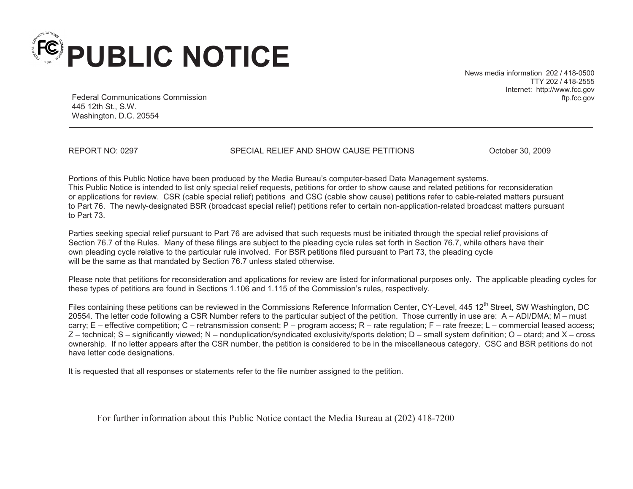

News media information 202 / 418-0500 TTY 202 / 418-2555 Internet: http://www.fcc.gov ftp.fcc.gov

Federal Communications Commission 445 12th St., S.W. Washington, D.C. 20554

REPORT NO: 0297 SPECIAL RELIEF AND SHOW CAUSE PETITIONS October 30, 2009

Portions of this Public Notice have been produced by the Media Bureau's computer-based Data Management systems. This Public Notice is intended to list only special relief requests, petitions for order to show cause and related petitions for reconsideration or applications for review. CSR (cable special relief) petitions and CSC (cable show cause) petitions refer to cable-related matters pursuant to Part 76. The newly-designated BSR (broadcast special relief) petitions refer to certain non-application-related broadcast matters pursuant to Part 73.

Parties seeking special relief pursuant to Part 76 are advised that such requests must be initiated through the special relief provisions of Section 76.7 of the Rules. Many of these filings are subject to the pleading cycle rules set forth in Section 76.7, while others have their own pleading cycle relative to the particular rule involved. For BSR petitions filed pursuant to Part 73, the pleading cycle will be the same as that mandated by Section 76.7 unless stated otherwise.

Please note that petitions for reconsideration and applications for review are listed for informational purposes only. The applicable pleading cycles for these types of petitions are found in Sections 1.106 and 1.115 of the Commission's rules, respectively.

Files containing these petitions can be reviewed in the Commissions Reference Information Center, CY-Level, 445 12<sup>th</sup> Street, SW Washington, DC 20554. The letter code following a CSR Number refers to the particular subject of the petition. Those currently in use are: A – ADI/DMA; M – must carry; E – effective competition; C – retransmission consent; P – program access; R – rate regulation; F – rate freeze; L – commercial leased access; Z – technical; S – significantly viewed; N – nonduplication/syndicated exclusivity/sports deletion; D – small system definition; O – otard; and X – cross ownership. If no letter appears after the CSR number, the petition is considered to be in the miscellaneous category. CSC and BSR petitions do not have letter code designations.

It is requested that all responses or statements refer to the file number assigned to the petition.

For further information about this Public Notice contact the Media Bureau at (202) 418-7200